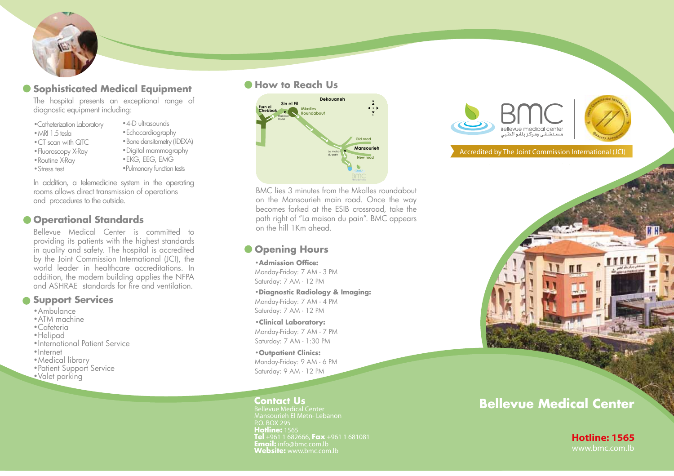# **• Sophisticated Medical Equipment**

The hospital presents an exceptional range of diagnostic equipment including:

- •Catheterization Laboratory
- •MRI 1.5 tesla
- •CT scan with QTC
- •Fluoroscopy X-Ray
- •Routine X-Ray
- •Stress test
- 
- •Echocardiography •Bone densitometry (I-DEXA) •Digital mammography •EKG, EEG, EMG •Pulmonary function tests

• 4-D ultrasounds

In addition, a telemedicine system in the operating rooms allows direct transmission of operations and procedures to the outside.

# $\bullet$  **Operational Standards**

Bellevue Medical Center is committed to providing its patients with the highest standards in quality and safety. The hospital is accredited by the Joint Commission International (JCI), the world leader in healthcare accreditations. In addition, the modern building applies the NFPA and ASHRAE standards for fire and ventilation.

## **Support Services**

- •Ambulance
- •ATM machine
- •Cafeteria
- •Helipad
- •International Patient Service
- •Internet
- •Medical library
- Patient Support Service
- •Valet parking

#### **Ashrafield How to Reach Us** Elias elHrawi Bridge



BMC lies 3 minutes from the Mkalles roundabout on the Mansourieh main road. Once the way becomes forked at the ESIB crossroad, take the path right of "La maison du pain". BMC appears

# **Opening Hours**

#### •**Admission Office:**

Monday-Friday: 7 AM - 3 PM Saturday: 7 AM - 12 PM

### •**Diagnostic Radiology & Imaging:**

Monday-Friday: 7 AM - 4 PM Saturday: 7 AM - 12 PM

•**Clinical Laboratory:** Monday-Friday: 7 AM - 7 PM Saturday: 7 AM - 1:30 PM

•**Outpatient Clinics:** Monday-Friday: 9 AM - 6 PM Saturday: 9 AM - 12 PM

Bellevue Medical Center P.O. BOX 295 **Hotline:** 1565 **Tel** +961 1 682666, **Fax** +961 1 681081 **Email:** info@bmc.com.lb **Website:** www.bmc.com.lb www.bmc.com.lb





Accredited by The Joint Commission International (JCI)

# **Bellevue Medical Center Contact Us**

πн

**Hotline: 1565**